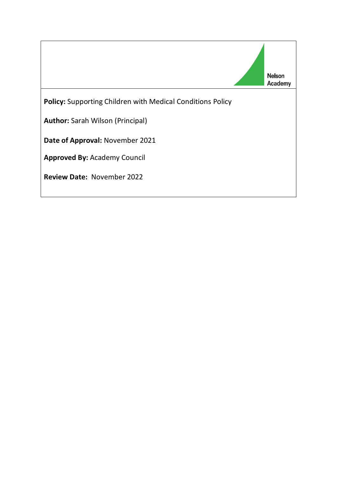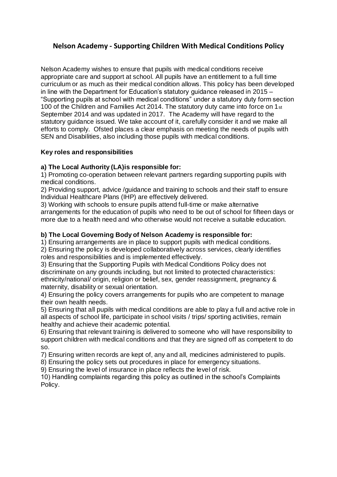#### **Nelson Academy - Supporting Children With Medical Conditions Policy**

Nelson Academy wishes to ensure that pupils with medical conditions receive appropriate care and support at school. All pupils have an entitlement to a full time curriculum or as much as their medical condition allows. This policy has been developed in line with the Department for Education's statutory guidance released in 2015 – "Supporting pupils at school with medical conditions" under a statutory duty form section 100 of the Children and Families Act 2014. The statutory duty came into force on 1st September 2014 and was updated in 2017. The Academy will have regard to the statutory guidance issued. We take account of it, carefully consider it and we make all efforts to comply. Ofsted places a clear emphasis on meeting the needs of pupils with SEN and Disabilities, also including those pupils with medical conditions.

#### **Key roles and responsibilities**

#### **a) The Local Authority (LA)is responsible for:**

1) Promoting co-operation between relevant partners regarding supporting pupils with medical conditions.

2) Providing support, advice /guidance and training to schools and their staff to ensure Individual Healthcare Plans (IHP) are effectively delivered.

3) Working with schools to ensure pupils attend full-time or make alternative arrangements for the education of pupils who need to be out of school for fifteen days or more due to a health need and who otherwise would not receive a suitable education.

#### **b) The Local Governing Body of Nelson Academy is responsible for:**

1) Ensuring arrangements are in place to support pupils with medical conditions. 2) Ensuring the policy is developed collaboratively across services, clearly identifies roles and responsibilities and is implemented effectively.

3) Ensuring that the Supporting Pupils with Medical Conditions Policy does not discriminate on any grounds including, but not limited to protected characteristics: ethnicity/national/ origin, religion or belief, sex, gender reassignment, pregnancy & maternity, disability or sexual orientation.

4) Ensuring the policy covers arrangements for pupils who are competent to manage their own health needs.

5) Ensuring that all pupils with medical conditions are able to play a full and active role in all aspects of school life, participate in school visits / trips/ sporting activities, remain healthy and achieve their academic potential.

6) Ensuring that relevant training is delivered to someone who will have responsibility to support children with medical conditions and that they are signed off as competent to do so.

7) Ensuring written records are kept of, any and all, medicines administered to pupils.

8) Ensuring the policy sets out procedures in place for emergency situations.

9) Ensuring the level of insurance in place reflects the level of risk.

10) Handling complaints regarding this policy as outlined in the school's Complaints Policy.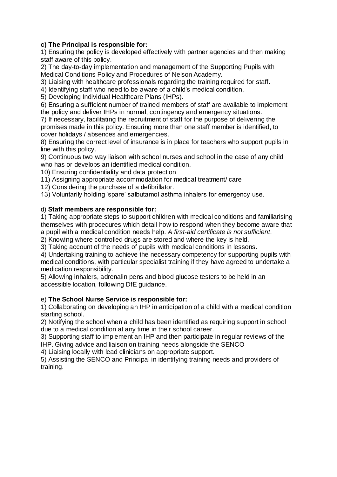#### **c) The Principal is responsible for:**

1) Ensuring the policy is developed effectively with partner agencies and then making staff aware of this policy.

2) The day-to-day implementation and management of the Supporting Pupils with Medical Conditions Policy and Procedures of Nelson Academy.

3) Liaising with healthcare professionals regarding the training required for staff.

4) Identifying staff who need to be aware of a child's medical condition.

5) Developing Individual Healthcare Plans (IHPs).

6) Ensuring a sufficient number of trained members of staff are available to implement the policy and deliver IHPs in normal, contingency and emergency situations.

7) If necessary, facilitating the recruitment of staff for the purpose of delivering the promises made in this policy. Ensuring more than one staff member is identified, to cover holidays / absences and emergencies.

8) Ensuring the correct level of insurance is in place for teachers who support pupils in line with this policy.

9) Continuous two way liaison with school nurses and school in the case of any child who has or develops an identified medical condition.

10) Ensuring confidentiality and data protection

11) Assigning appropriate accommodation for medical treatment/ care

12) Considering the purchase of a defibrillator.

13) Voluntarily holding 'spare' salbutamol asthma inhalers for emergency use.

#### d) **Staff members are responsible for:**

1) Taking appropriate steps to support children with medical conditions and familiarising themselves with procedures which detail how to respond when they become aware that a pupil with a medical condition needs help. *A first-aid certificate is not sufficient*.

2) Knowing where controlled drugs are stored and where the key is held.

3) Taking account of the needs of pupils with medical conditions in lessons.

4) Undertaking training to achieve the necessary competency for supporting pupils with medical conditions, with particular specialist training if they have agreed to undertake a medication responsibility.

5) Allowing inhalers, adrenalin pens and blood glucose testers to be held in an accessible location, following DfE guidance.

#### e) **The School Nurse Service is responsible for:**

1) Collaborating on developing an IHP in anticipation of a child with a medical condition starting school.

2) Notifying the school when a child has been identified as requiring support in school due to a medical condition at any time in their school career.

3) Supporting staff to implement an IHP and then participate in regular reviews of the IHP. Giving advice and liaison on training needs alongside the SENCO

4) Liaising locally with lead clinicians on appropriate support.

5) Assisting the SENCO and Principal in identifying training needs and providers of training.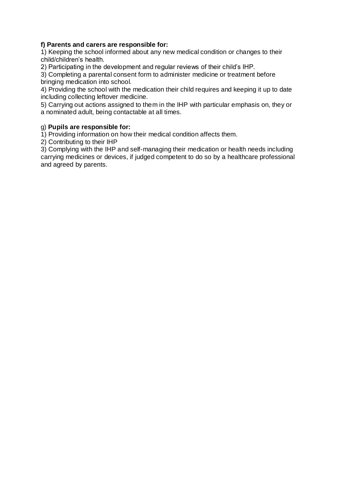#### **f) Parents and carers are responsible for:**

1) Keeping the school informed about any new medical condition or changes to their child/children's health.

2) Participating in the development and regular reviews of their child's IHP.

3) Completing a parental consent form to administer medicine or treatment before bringing medication into school.

4) Providing the school with the medication their child requires and keeping it up to date including collecting leftover medicine.

5) Carrying out actions assigned to them in the IHP with particular emphasis on, they or a nominated adult, being contactable at all times.

#### g) **Pupils are responsible for:**

1) Providing information on how their medical condition affects them.

2) Contributing to their IHP

3) Complying with the IHP and self-managing their medication or health needs including carrying medicines or devices, if judged competent to do so by a healthcare professional and agreed by parents.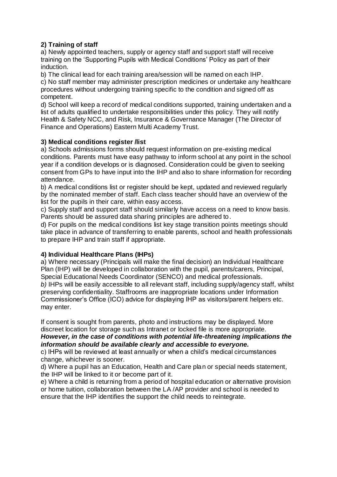#### **2) Training of staff**

a) Newly appointed teachers, supply or agency staff and support staff will receive training on the 'Supporting Pupils with Medical Conditions' Policy as part of their induction.

b) The clinical lead for each training area/session will be named on each IHP. c) No staff member may administer prescription medicines or undertake any healthcare procedures without undergoing training specific to the condition and signed off as competent.

d) School will keep a record of medical conditions supported, training undertaken and a list of adults qualified to undertake responsibilities under this policy. They will notify Health & Safety NCC, and Risk, Insurance & Governance Manager (The Director of Finance and Operations) Eastern Multi Academy Trust.

#### **3) Medical conditions register /list**

a) Schools admissions forms should request information on pre-existing medical conditions. Parents must have easy pathway to inform school at any point in the school year if a condition develops or is diagnosed. Consideration could be given to seeking consent from GPs to have input into the IHP and also to share information for recording attendance.

b) A medical conditions list or register should be kept, updated and reviewed regularly by the nominated member of staff. Each class teacher should have an overview of the list for the pupils in their care, within easy access.

c) Supply staff and support staff should similarly have access on a need to know basis. Parents should be assured data sharing principles are adhered to.

d) For pupils on the medical conditions list key stage transition points meetings should take place in advance of transferring to enable parents, school and health professionals to prepare IHP and train staff if appropriate.

#### **4) Individual Healthcare Plans (IHPs)**

a) Where necessary (Principals will make the final decision) an Individual Healthcare Plan (IHP) will be developed in collaboration with the pupil, parents/carers, Principal, Special Educational Needs Coordinator (SENCO) and medical professionals. *b)* IHPs will be easily accessible to all relevant staff, including supply/agency staff, whilst preserving confidentiality. Staffrooms are inappropriate locations under Information Commissioner's Office (ICO) advice for displaying IHP as visitors/parent helpers etc. may enter.

If consent is sought from parents, photo and instructions may be displayed. More discreet location for storage such as Intranet or locked file is more appropriate. *However, in the case of conditions with potential life-threatening implications the information should be available clearly and accessible to everyone.* 

c) IHPs will be reviewed at least annually or when a child's medical circumstances change, whichever is sooner.

d) Where a pupil has an Education, Health and Care plan or special needs statement, the IHP will be linked to it or become part of it.

e) Where a child is returning from a period of hospital education or alternative provision or home tuition, collaboration between the LA /AP provider and school is needed to ensure that the IHP identifies the support the child needs to reintegrate.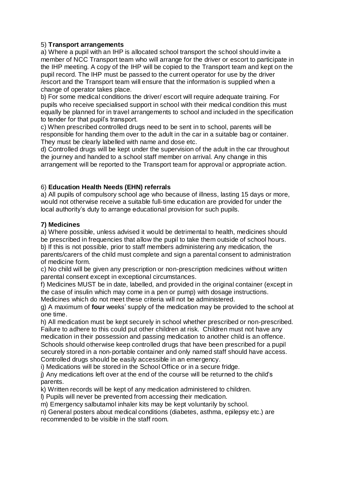#### 5) **Transport arrangements**

a) Where a pupil with an IHP is allocated school transport the school should invite a member of NCC Transport team who will arrange for the driver or escort to participate in the IHP meeting. A copy of the IHP will be copied to the Transport team and kept on the pupil record. The IHP must be passed to the current operator for use by the driver /escort and the Transport team will ensure that the information is supplied when a change of operator takes place.

b) For some medical conditions the driver/ escort will require adequate training. For pupils who receive specialised support in school with their medical condition this must equally be planned for in travel arrangements to school and included in the specification to tender for that pupil's transport.

c) When prescribed controlled drugs need to be sent in to school, parents will be responsible for handing them over to the adult in the car in a suitable bag or container. They must be clearly labelled with name and dose etc.

d) Controlled drugs will be kept under the supervision of the adult in the car throughout the journey and handed to a school staff member on arrival. Any change in this arrangement will be reported to the Transport team for approval or appropriate action.

#### 6) **Education Health Needs (EHN) referrals**

a) All pupils of compulsory school age who because of illness, lasting 15 days or more, would not otherwise receive a suitable full-time education are provided for under the local authority's duty to arrange educational provision for such pupils.

#### **7) Medicines**

a) Where possible, unless advised it would be detrimental to health, medicines should be prescribed in frequencies that allow the pupil to take them outside of school hours. b) If this is not possible, prior to staff members administering any medication, the parents/carers of the child must complete and sign a parental consent to administration of medicine form.

c) No child will be given any prescription or non-prescription medicines without written parental consent except in exceptional circumstances.

f) Medicines MUST be in date, labelled, and provided in the original container (except in the case of insulin which may come in a pen or pump) with dosage instructions. Medicines which do not meet these criteria will not be administered.

g) A maximum of **four** weeks' supply of the medication may be provided to the school at one time.

h) All medication must be kept securely in school whether prescribed or non-prescribed. Failure to adhere to this could put other children at risk. Children must not have any medication in their possession and passing medication to another child is an offence. Schools should otherwise keep controlled drugs that have been prescribed for a pupil securely stored in a non-portable container and only named staff should have access. Controlled drugs should be easily accessible in an emergency.

i) Medications will be stored in the School Office or in a secure fridge.

j) Any medications left over at the end of the course will be returned to the child's parents.

k) Written records will be kept of any medication administered to children.

l) Pupils will never be prevented from accessing their medication.

m) Emergency salbutamol inhaler kits may be kept voluntarily by school.

n) General posters about medical conditions (diabetes, asthma, epilepsy etc.) are recommended to be visible in the staff room.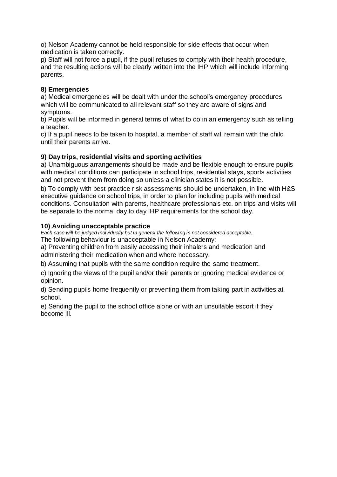o) Nelson Academy cannot be held responsible for side effects that occur when medication is taken correctly.

p) Staff will not force a pupil, if the pupil refuses to comply with their health procedure, and the resulting actions will be clearly written into the IHP which will include informing parents.

#### **8) Emergencies**

a) Medical emergencies will be dealt with under the school's emergency procedures which will be communicated to all relevant staff so they are aware of signs and symptoms.

b) Pupils will be informed in general terms of what to do in an emergency such as telling a teacher.

c) If a pupil needs to be taken to hospital, a member of staff will remain with the child until their parents arrive.

#### **9) Day trips, residential visits and sporting activities**

a) Unambiguous arrangements should be made and be flexible enough to ensure pupils with medical conditions can participate in school trips, residential stays, sports activities and not prevent them from doing so unless a clinician states it is not possible.

b) To comply with best practice risk assessments should be undertaken, in line with H&S executive guidance on school trips, in order to plan for including pupils with medical conditions. Consultation with parents, healthcare professionals etc. on trips and visits will be separate to the normal day to day IHP requirements for the school day.

#### **10) Avoiding unacceptable practice**

*Each case will be judged individually but in general the following is not considered acceptable.* 

The following behaviour is unacceptable in Nelson Academy:

a) Preventing children from easily accessing their inhalers and medication and administering their medication when and where necessary.

b) Assuming that pupils with the same condition require the same treatment.

c) Ignoring the views of the pupil and/or their parents or ignoring medical evidence or opinion.

d) Sending pupils home frequently or preventing them from taking part in activities at school.

e) Sending the pupil to the school office alone or with an unsuitable escort if they become ill.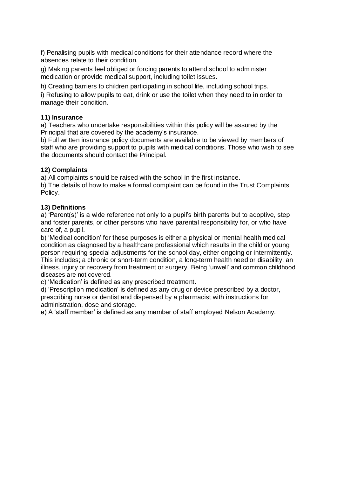f) Penalising pupils with medical conditions for their attendance record where the absences relate to their condition.

g) Making parents feel obliged or forcing parents to attend school to administer medication or provide medical support, including toilet issues.

h) Creating barriers to children participating in school life, including school trips.

i) Refusing to allow pupils to eat, drink or use the toilet when they need to in order to manage their condition.

#### **11) Insurance**

a) Teachers who undertake responsibilities within this policy will be assured by the Principal that are covered by the academy's insurance.

b) Full written insurance policy documents are available to be viewed by members of staff who are providing support to pupils with medical conditions. Those who wish to see the documents should contact the Principal.

#### **12) Complaints**

a) All complaints should be raised with the school in the first instance.

b) The details of how to make a formal complaint can be found in the Trust Complaints Policy.

#### **13) Definitions**

a) 'Parent(s)' is a wide reference not only to a pupil's birth parents but to adoptive, step and foster parents, or other persons who have parental responsibility for, or who have care of, a pupil.

b) 'Medical condition' for these purposes is either a physical or mental health medical condition as diagnosed by a healthcare professional which results in the child or young person requiring special adjustments for the school day, either ongoing or intermittently. This includes; a chronic or short-term condition, a long-term health need or disability, an illness, injury or recovery from treatment or surgery. Being 'unwell' and common childhood diseases are not covered.

c) 'Medication' is defined as any prescribed treatment.

d) 'Prescription medication' is defined as any drug or device prescribed by a doctor, prescribing nurse or dentist and dispensed by a pharmacist with instructions for administration, dose and storage.

e) A 'staff member' is defined as any member of staff employed Nelson Academy.